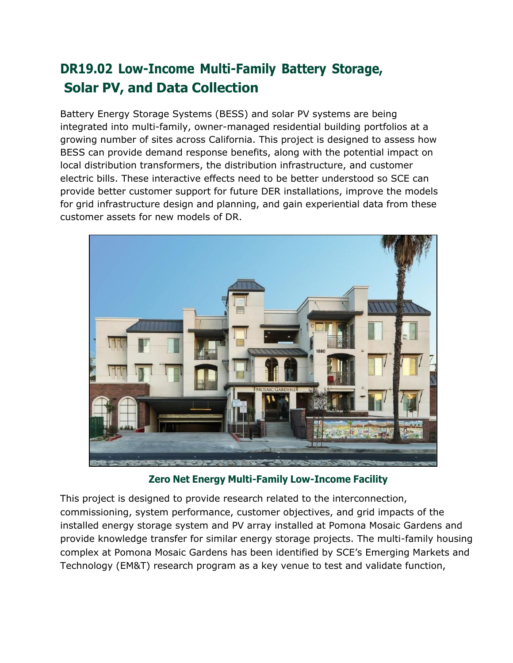## **DR19.02 Low-Income Multi-Family Battery Storage, Solar PV, and Data Collection**

Battery Energy Storage Systems (BESS) and solar PV systems are being integrated into multi-family, owner-managed residential building portfolios at a growing number of sites across California. This project is designed to assess how BESS can provide demand response benefits, along with the potential impact on local distribution transformers, the distribution infrastructure, and customer electric bills. These interactive effects need to be better understood so SCE can provide better customer support for future DER installations, improve the models for grid infrastructure design and planning, and gain experiential data from these customer assets for new models of DR.



**Zero Net Energy Multi-Family Low-Income Facility**

This project is designed to provide research related to the interconnection, commissioning, system performance, customer objectives, and grid impacts of the installed energy storage system and PV array installed at Pomona Mosaic Gardens and provide knowledge transfer for similar energy storage projects. The multi-family housing complex at Pomona Mosaic Gardens has been identified by SCE's Emerging Markets and Technology (EM&T) research program as a key venue to test and validate function,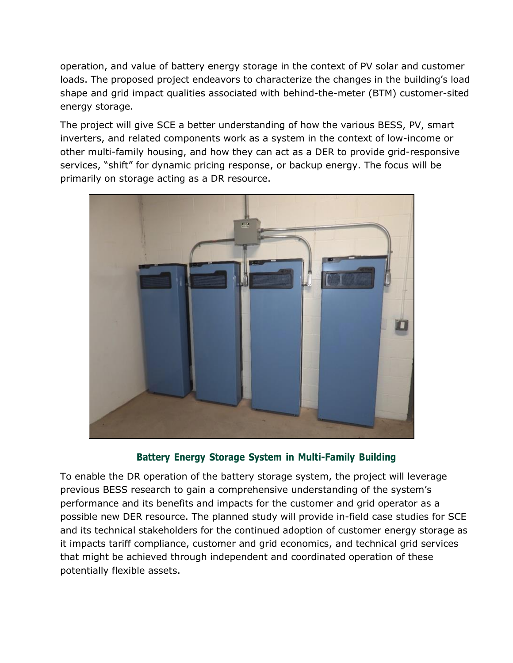operation, and value of battery energy storage in the context of PV solar and customer loads. The proposed project endeavors to characterize the changes in the building's load shape and grid impact qualities associated with behind-the-meter (BTM) customer-sited energy storage.

The project will give SCE a better understanding of how the various BESS, PV, smart inverters, and related components work as a system in the context of low-income or other multi-family housing, and how they can act as a DER to provide grid-responsive services, "shift" for dynamic pricing response, or backup energy. The focus will be primarily on storage acting as a DR resource.



**Battery Energy Storage System in Multi-Family Building**

To enable the DR operation of the battery storage system, the project will leverage previous BESS research to gain a comprehensive understanding of the system's performance and its benefits and impacts for the customer and grid operator as a possible new DER resource. The planned study will provide in-field case studies for SCE and its technical stakeholders for the continued adoption of customer energy storage as it impacts tariff compliance, customer and grid economics, and technical grid services that might be achieved through independent and coordinated operation of these potentially flexible assets.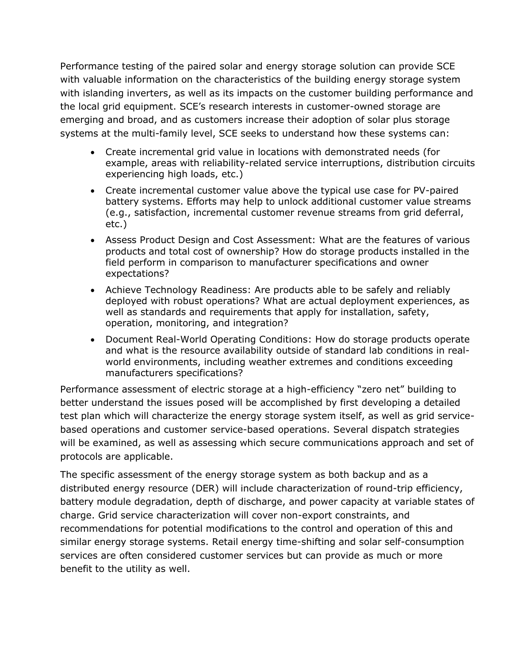Performance testing of the paired solar and energy storage solution can provide SCE with valuable information on the characteristics of the building energy storage system with islanding inverters, as well as its impacts on the customer building performance and the local grid equipment. SCE's research interests in customer-owned storage are emerging and broad, and as customers increase their adoption of solar plus storage systems at the multi-family level, SCE seeks to understand how these systems can:

- Create incremental grid value in locations with demonstrated needs (for example, areas with reliability-related service interruptions, distribution circuits experiencing high loads, etc.)
- Create incremental customer value above the typical use case for PV-paired battery systems. Efforts may help to unlock additional customer value streams (e.g., satisfaction, incremental customer revenue streams from grid deferral, etc.)
- Assess Product Design and Cost Assessment: What are the features of various products and total cost of ownership? How do storage products installed in the field perform in comparison to manufacturer specifications and owner expectations?
- Achieve Technology Readiness: Are products able to be safely and reliably deployed with robust operations? What are actual deployment experiences, as well as standards and requirements that apply for installation, safety, operation, monitoring, and integration?
- Document Real-World Operating Conditions: How do storage products operate and what is the resource availability outside of standard lab conditions in realworld environments, including weather extremes and conditions exceeding manufacturers specifications?

Performance assessment of electric storage at a high-efficiency "zero net" building to better understand the issues posed will be accomplished by first developing a detailed test plan which will characterize the energy storage system itself, as well as grid servicebased operations and customer service-based operations. Several dispatch strategies will be examined, as well as assessing which secure communications approach and set of protocols are applicable.

The specific assessment of the energy storage system as both backup and as a distributed energy resource (DER) will include characterization of round-trip efficiency, battery module degradation, depth of discharge, and power capacity at variable states of charge. Grid service characterization will cover non-export constraints, and recommendations for potential modifications to the control and operation of this and similar energy storage systems. Retail energy time-shifting and solar self-consumption services are often considered customer services but can provide as much or more benefit to the utility as well.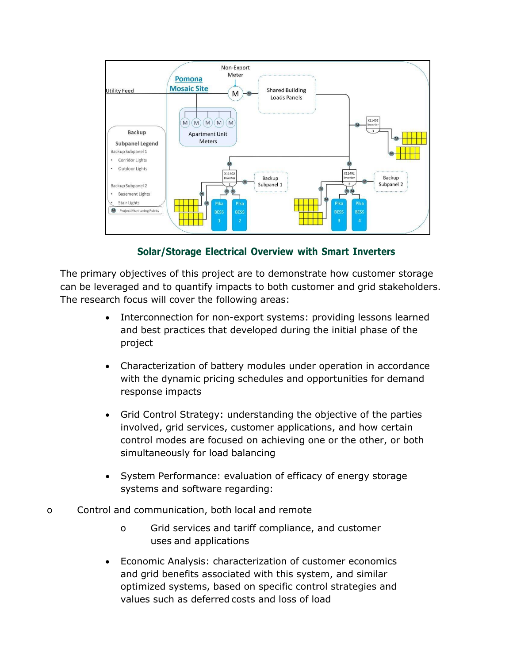

**Solar/Storage Electrical Overview with Smart Inverters**

The primary objectives of this project are to demonstrate how customer storage can be leveraged and to quantify impacts to both customer and grid stakeholders. The research focus will cover the following areas:

- Interconnection for non-export systems: providing lessons learned and best practices that developed during the initial phase of the project
- Characterization of battery modules under operation in accordance with the dynamic pricing schedules and opportunities for demand response impacts
- Grid Control Strategy: understanding the objective of the parties involved, grid services, customer applications, and how certain control modes are focused on achieving one or the other, or both simultaneously for load balancing
- System Performance: evaluation of efficacy of energy storage systems and software regarding:
- o Control and communication, both local and remote
	- o Grid services and tariff compliance, and customer uses and applications
	- Economic Analysis: characterization of customer economics and grid benefits associated with this system, and similar optimized systems, based on specific control strategies and values such as deferred costs and loss of load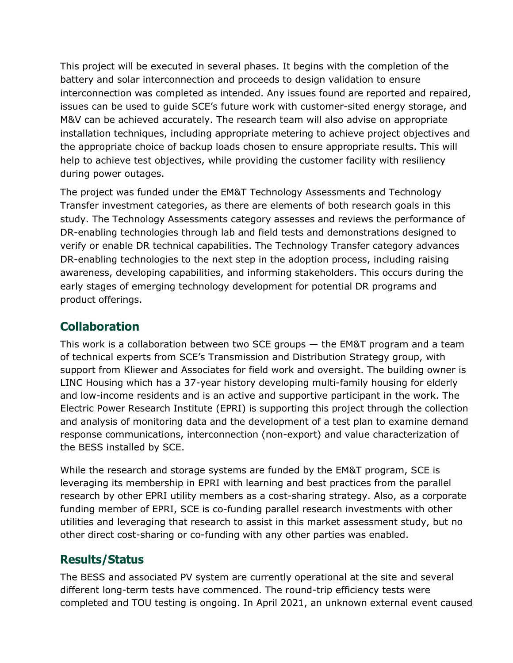This project will be executed in several phases. It begins with the completion of the battery and solar interconnection and proceeds to design validation to ensure interconnection was completed as intended. Any issues found are reported and repaired, issues can be used to guide SCE's future work with customer-sited energy storage, and M&V can be achieved accurately. The research team will also advise on appropriate installation techniques, including appropriate metering to achieve project objectives and the appropriate choice of backup loads chosen to ensure appropriate results. This will help to achieve test objectives, while providing the customer facility with resiliency during power outages.

The project was funded under the EM&T Technology Assessments and Technology Transfer investment categories, as there are elements of both research goals in this study. The Technology Assessments category assesses and reviews the performance of DR-enabling technologies through lab and field tests and demonstrations designed to verify or enable DR technical capabilities. The Technology Transfer category advances DR-enabling technologies to the next step in the adoption process, including raising awareness, developing capabilities, and informing stakeholders. This occurs during the early stages of emerging technology development for potential DR programs and product offerings.

## **Collaboration**

This work is a collaboration between two SCE groups — the EM&T program and a team of technical experts from SCE's Transmission and Distribution Strategy group, with support from Kliewer and Associates for field work and oversight. The building owner is LINC Housing which has a 37-year history developing multi-family housing for elderly and low-income residents and is an active and supportive participant in the work. The Electric Power Research Institute (EPRI) is supporting this project through the collection and analysis of monitoring data and the development of a test plan to examine demand response communications, interconnection (non-export) and value characterization of the BESS installed by SCE.

While the research and storage systems are funded by the EM&T program, SCE is leveraging its membership in EPRI with learning and best practices from the parallel research by other EPRI utility members as a cost-sharing strategy. Also, as a corporate funding member of EPRI, SCE is co-funding parallel research investments with other utilities and leveraging that research to assist in this market assessment study, but no other direct cost-sharing or co-funding with any other parties was enabled.

## **Results/Status**

The BESS and associated PV system are currently operational at the site and several different long-term tests have commenced. The round-trip efficiency tests were completed and TOU testing is ongoing. In April 2021, an unknown external event caused